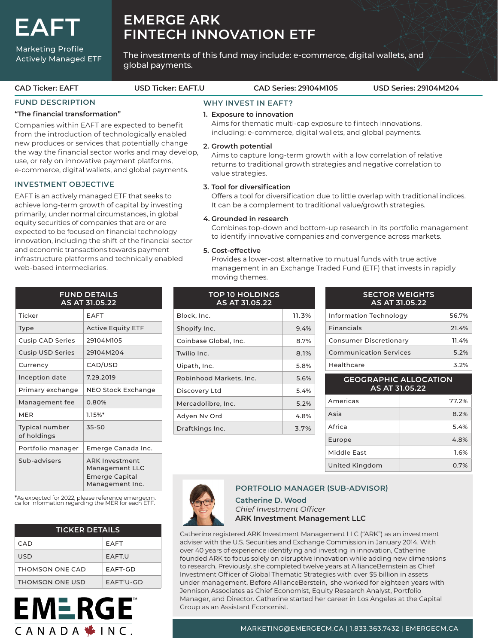**EAFT**

### Marketing Profile Actively Managed ETF

# **EMERGE ARK FINTECH INNOVATION ETF**

The investments of this fund may include: e-commerce, digital wallets, and global payments.

|  | <b>CAD Ticker: EAFT</b>                                                                                                                                                                                                                                                                                                                             | <b>USD Ticker: EAFT.U</b>                                                                                                                                                        |                                                                                                                                                                                         | <b>CAD Series: 29104M105</b>             |                                                                                                                              | <b>USD Series: 29104M204</b>            |  |  |  |
|--|-----------------------------------------------------------------------------------------------------------------------------------------------------------------------------------------------------------------------------------------------------------------------------------------------------------------------------------------------------|----------------------------------------------------------------------------------------------------------------------------------------------------------------------------------|-----------------------------------------------------------------------------------------------------------------------------------------------------------------------------------------|------------------------------------------|------------------------------------------------------------------------------------------------------------------------------|-----------------------------------------|--|--|--|
|  | <b>FUND DESCRIPTION</b>                                                                                                                                                                                                                                                                                                                             | "The financial transformation"                                                                                                                                                   |                                                                                                                                                                                         | <b>WHY INVEST IN EAFT?</b>               |                                                                                                                              |                                         |  |  |  |
|  |                                                                                                                                                                                                                                                                                                                                                     |                                                                                                                                                                                  |                                                                                                                                                                                         | 1. Exposure to innovation                |                                                                                                                              |                                         |  |  |  |
|  | Companies within EAFT are expected to benefit<br>from the introduction of technologically enabled<br>new produces or services that potentially change<br>the way the financial sector works and may develop,<br>use, or rely on innovative payment platforms,<br>e-commerce, digital wallets, and global payments.                                  |                                                                                                                                                                                  |                                                                                                                                                                                         |                                          | Aims for thematic multi-cap exposure to fintech innovations,<br>including: e-commerce, digital wallets, and global payments. |                                         |  |  |  |
|  |                                                                                                                                                                                                                                                                                                                                                     |                                                                                                                                                                                  | 2. Growth potential<br>Aims to capture long-term growth with a low correlation of relative<br>returns to traditional growth strategies and negative correlation to<br>value strategies. |                                          |                                                                                                                              |                                         |  |  |  |
|  | <b>INVESTMENT OBJECTIVE</b><br>EAFT is an actively managed ETF that seeks to<br>achieve long-term growth of capital by investing<br>primarily, under normal circumstances, in global<br>equity securities of companies that are or are<br>expected to be focused on financial technology<br>innovation, including the shift of the financial sector |                                                                                                                                                                                  | 3. Tool for diversification                                                                                                                                                             |                                          |                                                                                                                              |                                         |  |  |  |
|  |                                                                                                                                                                                                                                                                                                                                                     |                                                                                                                                                                                  | Offers a tool for diversification due to little overlap with traditional indices.<br>It can be a complement to traditional value/growth strategies.                                     |                                          |                                                                                                                              |                                         |  |  |  |
|  |                                                                                                                                                                                                                                                                                                                                                     |                                                                                                                                                                                  | 4. Grounded in research<br>Combines top-down and bottom-up research in its portfolio management<br>to identify innovative companies and convergence across markets.                     |                                          |                                                                                                                              |                                         |  |  |  |
|  | and economic transactions towards payment<br>infrastructure platforms and technically enabled<br>web-based intermediaries.                                                                                                                                                                                                                          | 5. Cost-effective<br>Provides a lower-cost alternative to mutual funds with true active<br>management in an Exchange Traded Fund (ETF) that invests in rapidly<br>moving themes. |                                                                                                                                                                                         |                                          |                                                                                                                              |                                         |  |  |  |
|  | <b>FUND DETAILS</b><br>AS AT 31.05.22                                                                                                                                                                                                                                                                                                               |                                                                                                                                                                                  |                                                                                                                                                                                         | <b>TOP 10 HOLDINGS</b><br>AS AT 31.05.22 |                                                                                                                              | <b>SECTOR WEIGHTS</b><br>AS AT 31.05.22 |  |  |  |

| AS AT 31.05.22                       |                                                                              |  |  |  |  |
|--------------------------------------|------------------------------------------------------------------------------|--|--|--|--|
| Ticker                               | EAFT                                                                         |  |  |  |  |
| <b>Type</b>                          | <b>Active Equity ETF</b>                                                     |  |  |  |  |
| <b>Cusip CAD Series</b>              | 29104M105                                                                    |  |  |  |  |
| <b>Cusip USD Series</b>              | 29104M204                                                                    |  |  |  |  |
| Currency                             | CAD/USD                                                                      |  |  |  |  |
| Inception date                       | 7.29.2019                                                                    |  |  |  |  |
| Primary exchange                     | NEO Stock Exchange                                                           |  |  |  |  |
| Management fee                       | 0.80%                                                                        |  |  |  |  |
| <b>MER</b>                           | $1.15\%$ *                                                                   |  |  |  |  |
| <b>Typical number</b><br>of holdings | $35 - 50$                                                                    |  |  |  |  |
| Portfolio manager                    | Emerge Canada Inc.                                                           |  |  |  |  |
| Sub-advisers                         | <b>ARK Investment</b><br>Management LLC<br>Emerge Capital<br>Management Inc. |  |  |  |  |

\*As expected for 2022, please reference emergecm. ca for information regarding the MER for each ETF.

| <b>TICKER DETAILS</b> |               |  |  |  |
|-----------------------|---------------|--|--|--|
| CAD.                  | <b>EAFT</b>   |  |  |  |
| USD                   | <b>FAFT.U</b> |  |  |  |
| THOMSON ONE CAD       | FAFT-GD       |  |  |  |
| THOMSON ONE USD       | FAFT'U-GD     |  |  |  |



## Block, Inc. 11.3% Shopify Inc. 2012 12:30 12:30 12:30 12:30 12:30 12:30 12:30 12:30 12:30 12:30 12:30 12:30 12:30 12:30 12:30 12:30 12:30 12:30 12:30 12:30 12:30 12:30 12:30 12:30 12:30 12:30 12:30 12:30 12:30 12:30 12:30 12:30 12:30 12:30 Coinbase Global, Inc. 6.7% Twilio Inc. 2008 1991 12:00:00 12:00:00 12:00:00 12:00:00 12:00:00 12:00:00 12:00:00 12:00:00 12:00:00 12:00:00 Uipath, Inc. 5.8% Robinhood Markets, Inc. 15.6% Discovery Ltd 5.4% Mercadolibre, Inc. 5.2% Adyen Nv Ord 4.8% Draftkings Inc. 2.7%

| <b>SECTOR WEIGHTS</b><br>AS AT 31.05.22 |       |  |  |  |
|-----------------------------------------|-------|--|--|--|
| Information Technology                  | 56.7% |  |  |  |
| <b>Financials</b>                       | 21.4% |  |  |  |
| <b>Consumer Discretionary</b>           | 11.4% |  |  |  |
| <b>Communication Services</b>           | 5.2%  |  |  |  |
| Healthcare                              | 3.2%  |  |  |  |

| <b>GEOGRAPHIC ALLOCATION</b><br>AS AT 31.05.22 |       |  |  |  |  |
|------------------------------------------------|-------|--|--|--|--|
| Americas                                       | 77.2% |  |  |  |  |
| Asia                                           | 8.2%  |  |  |  |  |
| Africa                                         | 5.4%  |  |  |  |  |
| Europe                                         | 4.8%  |  |  |  |  |
| Middle Fast                                    | 1.6%  |  |  |  |  |
| United Kingdom                                 | 0.7%  |  |  |  |  |

### **PORTFOLIO MANAGER (SUB-ADVISOR)**

**Catherine D. Wood**  *Chief Investment Officer* **ARK Investment Management LLC**

Catherine registered ARK Investment Management LLC ("ARK") as an investment adviser with the U.S. Securities and Exchange Commission in January 2014. With over 40 years of experience identifying and investing in innovation, Catherine founded ARK to focus solely on disruptive innovation while adding new dimensions to research. Previously, she completed twelve years at AllianceBernstein as Chief Investment Officer of Global Thematic Strategies with over \$5 billion in assets under management. Before AllianceBerstein, she worked for eighteen years with Jennison Associates as Chief Economist, Equity Research Analyst, Portfolio Manager, and Director. Catherine started her career in Los Angeles at the Capital Group as an Assistant Economist.